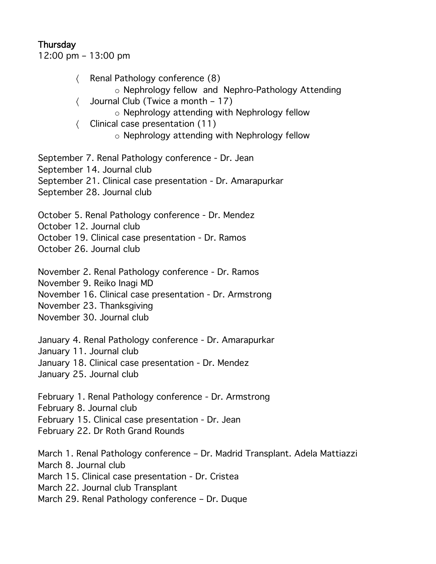## **Thursday**

12:00 pm – 13:00 pm

- 〈 Renal Pathology conference (8)
	- o Nephrology fellow and Nephro-Pathology Attending
- 〈 Journal Club (Twice a month 17)
	- o Nephrology attending with Nephrology fellow
- 〈 Clinical case presentation (11)
	- o Nephrology attending with Nephrology fellow

September 7. Renal Pathology conference - Dr. Jean

- September 14. Journal club
- September 21. Clinical case presentation Dr. Amarapurkar
- September 28. Journal club

October 5. Renal Pathology conference - Dr. Mendez

October 12. Journal club

October 19. Clinical case presentation - Dr. Ramos

October 26. Journal club

November 2. Renal Pathology conference - Dr. Ramos

November 9. Reiko Inagi MD

- November 16. Clinical case presentation Dr. Armstrong
- November 23. Thanksgiving
- November 30. Journal club

January 4. Renal Pathology conference - Dr. Amarapurkar

January 11. Journal club

January 18. Clinical case presentation - Dr. Mendez

January 25. Journal club

February 1. Renal Pathology conference - Dr. Armstrong

February 8. Journal club

February 15. Clinical case presentation - Dr. Jean

February 22. Dr Roth Grand Rounds

March 1. Renal Pathology conference – Dr. Madrid Transplant. Adela Mattiazzi March 8. Journal club March 15. Clinical case presentation - Dr. Cristea March 22. Journal club Transplant March 29. Renal Pathology conference – Dr. Duque